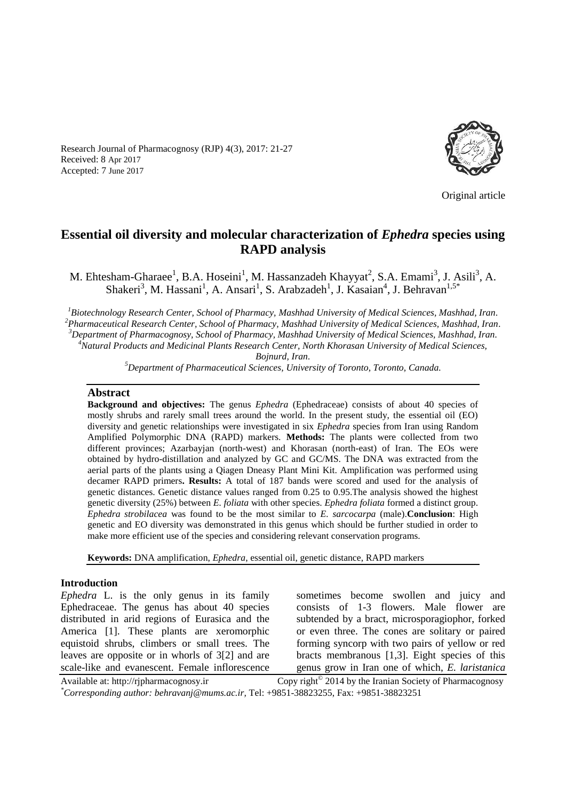Research Journal of Pharmacognosy (RJP) 4(3), 2017: 21-27 Received: 8 Apr 2017 Accepted: 7 June 2017



Original article

# **Essential oil diversity and molecular characterization of** *Ephedra* **species using RAPD analysis**

M. Ehtesham-Gharaee<sup>1</sup>, B.A. Hoseini<sup>1</sup>, M. Hassanzadeh Khayyat<sup>2</sup>, S.A. Emami<sup>3</sup>, J. Asili<sup>3</sup>, A. Shakeri<sup>3</sup>, M. Hassani<sup>1</sup>, A. Ansari<sup>1</sup>, S. Arabzadeh<sup>1</sup>, J. Kasaian<sup>4</sup>, J. Behravan<sup>1,5\*</sup>

*<sup>1</sup>Biotechnology Research Center, School of Pharmacy, Mashhad University of Medical Sciences, Mashhad, Iran. <sup>2</sup>Pharmaceutical Research Center, School of Pharmacy, Mashhad University of Medical Sciences, Mashhad, Iran. <sup>3</sup>Department of Pharmacognosy, School of Pharmacy, Mashhad University of Medical Sciences, Mashhad, Iran.*

*<sup>4</sup>Natural Products and Medicinal Plants Research Center, North Khorasan University of Medical Sciences,* 

*Bojnurd, Iran.*

*<sup>5</sup>Department of Pharmaceutical Sciences, University of Toronto, Toronto, Canada.*

#### **Abstract**

**Background and objectives:** The genus *Ephedra* (Ephedraceae) consists of about 40 species of mostly shrubs and rarely small trees around the world. In the present study, the essential oil (EO) diversity and genetic relationships were investigated in six *Ephedra* species from Iran using Random Amplified Polymorphic DNA (RAPD) markers. **Methods:** The plants were collected from two different provinces; Azarbayjan (north-west) and Khorasan (north-east) of Iran. The EOs were obtained by hydro-distillation and analyzed by GC and GC/MS. The DNA was extracted from the aerial parts of the plants using a Qiagen Dneasy Plant Mini Kit. Amplification was performed using decamer RAPD primers**. Results:** A total of 187 bands were scored and used for the analysis of genetic distances. Genetic distance values ranged from 0.25 to 0.95.The analysis showed the highest genetic diversity (25%) between *E. foliata* with other species. *Ephedra foliata* formed a distinct group. *Ephedra strobilacea* was found to be the most similar to *E. sarcocarpa* (male).**Conclusion**: High genetic and EO diversity was demonstrated in this genus which should be further studied in order to make more efficient use of the species and considering relevant conservation programs.

**Keywords:** DNA amplification, *Ephedra*, essential oil, genetic distance, RAPD markers

#### **Introduction**

*Ephedra* L. is the only genus in its family Ephedraceae. The genus has about 40 species distributed in arid regions of Eurasica and the America [1]. These plants are xeromorphic equistoid shrubs, climbers or small trees. The leaves are opposite or in whorls of 3[2] and are scale-like and evanescent. Female inflorescence sometimes become swollen and juicy and consists of 1-3 flowers. Male flower are subtended by a bract, microsporagiophor, forked or even three. The cones are solitary or paired forming syncorp with two pairs of yellow or red bracts membranous [1,3]. Eight species of this genus grow in Iran one of which, *E. laristanica*

Available at: http://rjpharmacognosy.ir 2014 by the Iranian Society of Pharmacognosy *\*Corresponding author: behravanj@mums.ac.ir,* Tel: +9851-38823255, Fax: +9851-38823251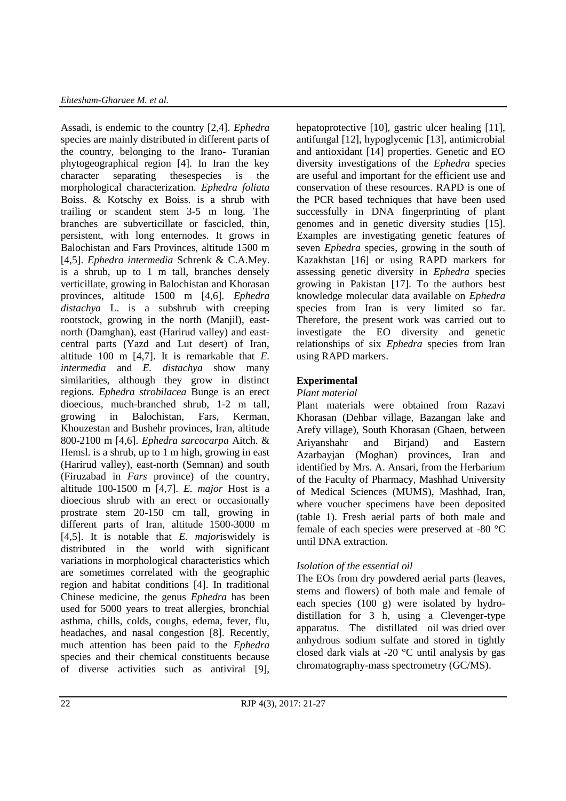Assadi, is endemic to the country [2,4]. *Ephedra* species are mainly distributed in different parts of the country, belonging to the Irano- Turanian phytogeographical region [4]. In Iran the key character separating thesespecies is the morphological characterization. *Ephedra foliata* Boiss. & Kotschy ex Boiss. is a shrub with trailing or scandent stem 3-5 m long. The branches are subverticillate or fascicled, thin, persistent, with long enternodes. It grows in Balochistan and Fars Provinces, altitude 1500 m [4,5]. *Ephedra intermedia* Schrenk & C.A.Mey. is a shrub, up to 1 m tall, branches densely verticillate, growing in Balochistan and Khorasan provinces, altitude 1500 m [4,6]. *Ephedra distachya* L. is a subshrub with creeping rootstock, growing in the north (Manjil), eastnorth (Damghan), east (Harirud valley) and eastcentral parts (Yazd and Lut desert) of Iran, altitude 100 m [4,7]. It is remarkable that *E. intermedia* and *E. distachya* show many similarities, although they grow in distinct regions. *Ephedra strobilacea* Bunge is an erect dioecious, much-branched shrub, 1-2 m tall, growing in Balochistan, Fars, Kerman, Khouzestan and Bushehr provinces, Iran, altitude 800-2100 m [4,6]. *Ephedra sarcocarpa* Aitch. & Hemsl. is a shrub, up to 1 m high, growing in east (Harirud valley), east-north (Semnan) and south (Firuzabad in *Fars* province) of the country, altitude 100-1500 m [4,7]. *E. major* Host is a dioecious shrub with an erect or occasionally prostrate stem 20-150 cm tall, growing in different parts of Iran, altitude 1500-3000 m [4,5]. It is notable that *E. major*iswidely is distributed in the world with significant variations in morphological characteristics which are sometimes correlated with the geographic region and habitat conditions [4]. In traditional Chinese medicine, the genus *Ephedra* has been used for 5000 years to treat allergies, bronchial asthma, chills, colds, coughs, edema, fever, flu, headaches, and nasal congestion [8]. Recently, much attention has been paid to the *Ephedra*  species and their chemical constituents because of diverse activities such as antiviral [9],

hepatoprotective [10], gastric ulcer healing [11], antifungal [12], hypoglycemic [13], antimicrobial and antioxidant [14] properties. Genetic and EO diversity investigations of the *Ephedra* species are useful and important for the efficient use and conservation of these resources. RAPD is one of the PCR based techniques that have been used successfully in DNA fingerprinting of plant genomes and in genetic diversity studies [15]. Examples are investigating genetic features of seven *Ephedra* species, growing in the south of Kazakhstan [16] or using RAPD markers for assessing genetic diversity in *Ephedra* species growing in Pakistan [17]. To the authors best knowledge molecular data available on *Ephedra* species from Iran is very limited so far. Therefore, the present work was carried out to investigate the EO diversity and genetic relationships of six *Ephedra* species from Iran using RAPD markers.

# **Experimental**

# *Plant material*

Plant materials were obtained from Razavi Khorasan (Dehbar village, Bazangan lake and Arefy village), South Khorasan (Ghaen, between Ariyanshahr and Birjand) and Eastern Azarbayjan (Moghan) provinces, Iran and identified by Mrs. A. Ansari, from the Herbarium of the Faculty of Pharmacy, Mashhad University of Medical Sciences (MUMS), Mashhad, Iran, where voucher specimens have been deposited (table 1). Fresh aerial parts of both male and female of each species were preserved at -80 °C until DNA extraction.

# *Isolation of the essential oil*

The EOs from dry powdered aerial parts (leaves, stems and flowers) of both male and female of each species (100 g) were isolated by hydrodistillation for 3 h, using a Clevenger-type apparatus. The distillated oil was dried over anhydrous sodium sulfate and stored in tightly closed dark vials at -20 $\degree$ C until analysis by gas chromatography-mass spectrometry (GC/MS).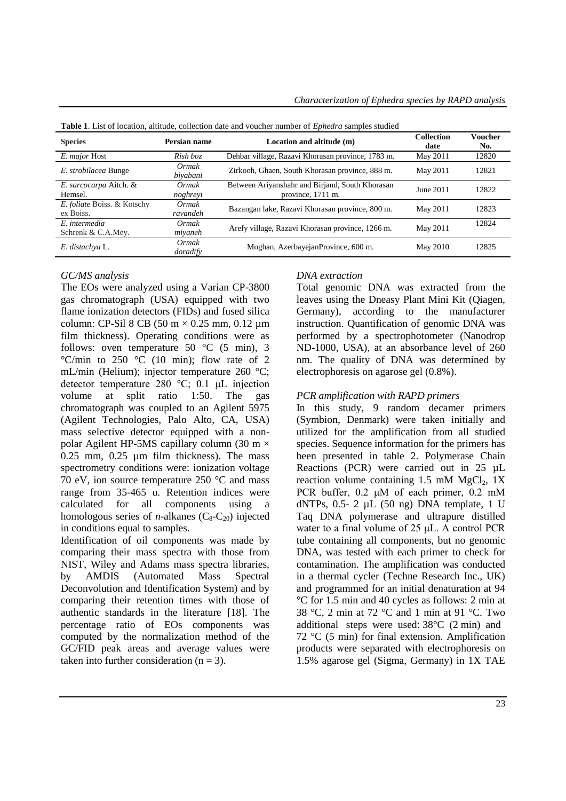| <b>Species</b>                           | Persian name      | Location and altitude (m)                                            | <b>Collection</b><br>date | Voucher<br>No. |
|------------------------------------------|-------------------|----------------------------------------------------------------------|---------------------------|----------------|
| E. major Host                            | Rish boz          | Dehbar village, Razavi Khorasan province, 1783 m.                    | May 2011                  | 12820          |
| E. strobilacea Bunge                     | Ormak<br>biyabani | Zirkooh, Ghaen, South Khorasan province, 888 m.                      | May 2011                  | 12821          |
| E. sarcocarpa Aitch. &<br>Hemsel.        | Ormak<br>noghreyi | Between Ariyanshahr and Birjand, South Khorasan<br>province, 1711 m. | June 2011                 | 12822          |
| E. foliate Boiss. & Kotschy<br>ex Boiss. | Ormak<br>ravandeh | Bazangan lake, Razavi Khorasan province, 800 m.                      | May 2011                  | 12823          |
| E. intermedia<br>Schrenk & C.A.Mey.      | Ormak<br>miyaneh  | Arefy village, Razavi Khorasan province, 1266 m.                     | May 2011                  | 12824          |
| E. distachya L.                          | Ormak<br>doradify | Moghan, AzerbayejanProvince, 600 m.                                  | May 2010                  | 12825          |

| <b>Table 1.</b> List of location, altitude, collection date and voucher number of <i>Ephedra</i> samples studied |
|------------------------------------------------------------------------------------------------------------------|
|------------------------------------------------------------------------------------------------------------------|

## *GC/MS analysis*

The EOs were analyzed using a Varian CP-3800 gas chromatograph (USA) equipped with two flame ionization detectors (FIDs) and fused silica column: CP-Sil 8 CB (50 m  $\times$  0.25 mm, 0.12 µm film thickness). Operating conditions were as follows: oven temperature 50  $\degree$ C (5 min), 3  $\mathrm{^{\circ}C/min}$  to 250  $\mathrm{^{\circ}C}$  (10 min); flow rate of 2 mL/min (Helium); injector temperature 260 °C; detector temperature 280 °C; 0.1 μL injection volume at split ratio 1:50. The gas chromatograph was coupled to an Agilent 5975 (Agilent Technologies, Palo Alto, CA, USA) mass selective detector equipped with a nonpolar Agilent HP-5MS capillary column (30 m  $\times$ 0.25 mm, 0.25 µm film thickness). The mass spectrometry conditions were: ionization voltage 70 eV, ion source temperature 250 °C and mass range from 35-465 u. Retention indices were calculated for all components using a homologous series of *n*-alkanes  $(C_8-C_{20})$  injected in conditions equal to samples.

Identification of oil components was made by comparing their mass spectra with those from NIST, Wiley and Adams mass spectra libraries, by AMDIS (Automated Mass Spectral Deconvolution and Identification System) and by comparing their retention times with those of authentic standards in the literature [18]. The percentage ratio of EOs components was computed by the normalization method of the GC/FID peak areas and average values were taken into further consideration  $(n = 3)$ .

## *DNA extraction*

Total genomic DNA was extracted from the leaves using the Dneasy Plant Mini Kit (Qiagen, Germany), according to the manufacturer instruction. Quantification of genomic DNA was performed by a spectrophotometer (Nanodrop ND-1000, USA), at an absorbance level of 260 nm. The quality of DNA was determined by electrophoresis on agarose gel (0.8%).

# *PCR amplification with RAPD primers*

In this study, 9 random decamer primers (Symbion, Denmark) were taken initially and utilized for the amplification from all studied species. Sequence information for the primers has been presented in table 2. Polymerase Chain Reactions (PCR) were carried out in 25 µL reaction volume containing 1.5 mM  $MgCl<sub>2</sub>$ , 1X PCR buffer, 0.2 μM of each primer, 0.2 mM dNTPs,  $0.5 - 2 \mu L$  (50 ng) DNA template, 1 U Taq DNA polymerase and ultrapure distilled water to a final volume of 25 μL. A control PCR tube containing all components, but no genomic DNA, was tested with each primer to check for contamination. The amplification was conducted in a thermal cycler (Techne Research Inc., UK) and programmed for an initial denaturation at 94 °C for 1.5 min and 40 cycles as follows: 2 min at 38 °C, 2 min at 72 °C and 1 min at 91 °C. Two additional steps were used: 38°C (2 min) and 72 °C (5 min) for final extension. Amplification products were separated with electrophoresis on 1.5% agarose gel (Sigma, Germany) in 1X TAE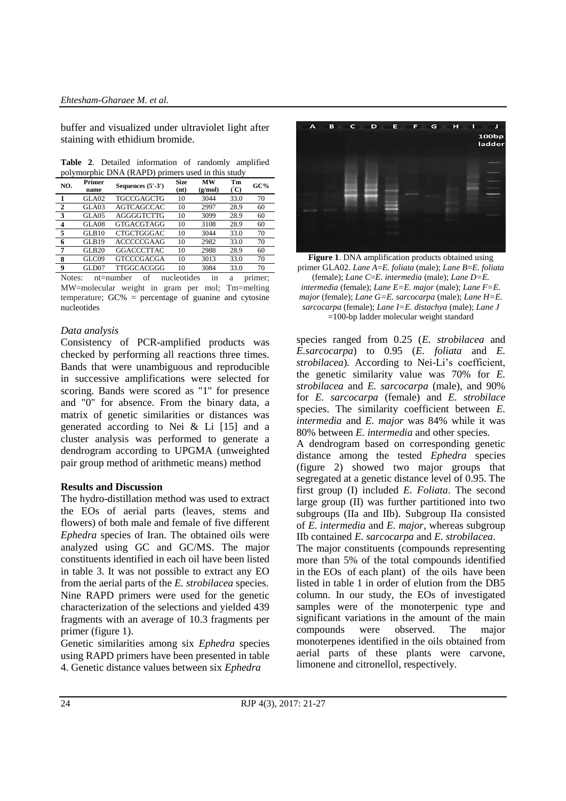buffer and visualized under ultraviolet light after staining with ethidium bromide.

**Table 2**. Detailed information of randomly amplified polymorphic DNA (RAPD) primers used in this study

| NO.                     | Primer<br>name | Sequences $(5'-3')$ | <b>Size</b><br>(nt) | MW<br>(g/mol) | Тm<br>$\mathcal{C}(\mathbf{C})$ | GC% |
|-------------------------|----------------|---------------------|---------------------|---------------|---------------------------------|-----|
| 1                       | GLA02          | TGCCGAGCTG          | 10                  | 3044          | 33.0                            | 70  |
| $\overline{2}$          | GLA03          | <b>AGTCAGCCAC</b>   | 10                  | 2997          | 28.9                            | 60  |
| 3                       | GLA05          | AGGGGTCTTG          | 10                  | 3099          | 28.9                            | 60  |
| $\overline{\mathbf{4}}$ | GLA08          | <b>GTGACGTAGG</b>   | 10                  | 3108          | 28.9                            | 60  |
| 5                       | GLB10          | <b>CTGCTGGGAC</b>   | 10                  | 3044          | 33.0                            | 70  |
| 6                       | GLB19          | <b>ACCCCCGAAG</b>   | 10                  | 2982          | 33.0                            | 70  |
| 7                       | GLB20          | <b>GGACCCTTAC</b>   | 10                  | 2988          | 28.9                            | 60  |
| 8                       | GLCO9          | <b>GTCCCGACGA</b>   | 10                  | 3013          | 33.0                            | 70  |
| 9                       | GLD07          | TTGGCACGGG          | 10                  | 3084          | 33.0                            | 70  |

Notes: nt=number of nucleotides in a primer; MW=molecular weight in gram per mol; Tm=melting temperature; GC% = percentage of guanine and cytosine nucleotides

### *Data analysis*

Consistency of PCR-amplified products was checked by performing all reactions three times. Bands that were unambiguous and reproducible in successive amplifications were selected for scoring. Bands were scored as "1" for presence and "0" for absence. From the binary data, a matrix of genetic similarities or distances was generated according to Nei & Li [15] and a cluster analysis was performed to generate a dendrogram according to UPGMA (unweighted pair group method of arithmetic means) method

#### **Results and Discussion**

The hydro-distillation method was used to extract the EOs of aerial parts (leaves, stems and flowers) of both male and female of five different *Ephedra* species of Iran. The obtained oils were analyzed using GC and GC/MS. The major constituents identified in each oil have been listed in table 3. It was not possible to extract any EO from the aerial parts of the *E. strobilacea* species. Nine RAPD primers were used for the genetic characterization of the selections and yielded 439 fragments with an average of 10.3 fragments per primer (figure 1).

Genetic similarities among six *Ephedra* species using RAPD primers have been presented in table 4. Genetic distance values between six *Ephedra* 



**Figure 1**. DNA amplification products obtained using primer GLA02. *Lane A*=*E. foliata* (male); *Lane B*=*E. foliata* (female); *Lane C*=*E. intermedia* (male); *Lane D=E. intermedia* (female); *Lane E=E. major* (male); *Lane F=E. major* (female); *Lane G=E. sarcocarpa* (male); *Lane H=E. sarcocarpa* (female); *Lane I=E. distachya* (male); *Lane J* =100-bp ladder molecular weight standard

species ranged from 0.25 (*E. strobilacea* and *E.sarcocarpa*) to 0.95 (*E. foliata* and *E. strobilacea*)*.* According to Nei-Li's coefficient, the genetic similarity value was 70% for *E. strobilacea* and *E. sarcocarpa* (male), and 90% for *E. sarcocarpa* (female) and *E. strobilace* species. The similarity coefficient between *E. intermedia* and *E. major* was 84% while it was 80% between *E. intermedia* and other species.

A dendrogram based on corresponding genetic distance among the tested *Ephedra* species (figure 2) showed two major groups that segregated at a genetic distance level of 0.95. The first group (I) included *E. Foliata*. The second large group (II) was further partitioned into two subgroups (IIa and IIb). Subgroup IIa consisted of *E. intermedia* and *E. major*, whereas subgroup IIb contained *E. sarcocarpa* and *E. strobilacea*.

The major constituents (compounds representing more than 5% of the total compounds identified in the EOs of each plant) of the oils have been listed in table 1 in order of elution from the DB5 column. In our study, the EOs of investigated samples were of the monoterpenic type and significant variations in the amount of the main compounds were observed. The major monoterpenes identified in the oils obtained from aerial parts of these plants were carvone, limonene and citronellol, respectively.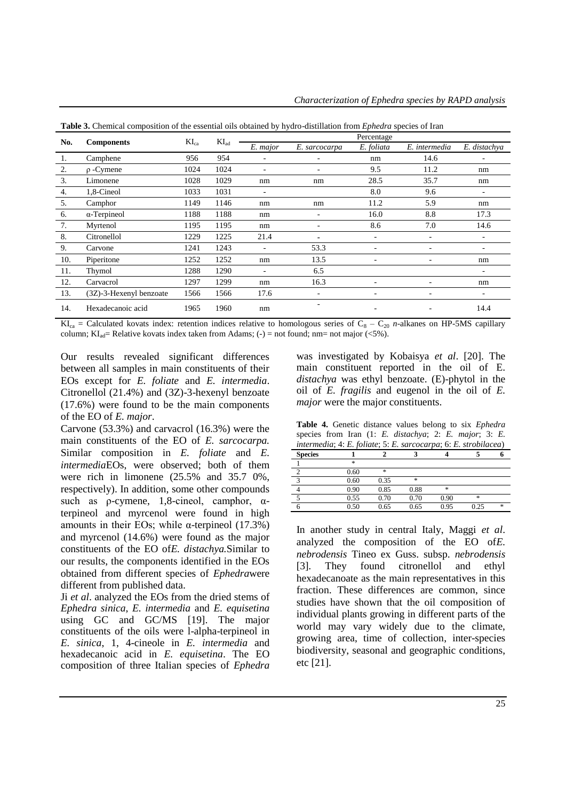| No. | <b>Components</b>       | $KI_{ca}$ | $KI_{ad}$ | Percentage               |                          |                          |               |                          |  |
|-----|-------------------------|-----------|-----------|--------------------------|--------------------------|--------------------------|---------------|--------------------------|--|
|     |                         |           |           | E. major                 | E. sarcocarpa            | E. foliata               | E. intermedia | E. distachya             |  |
| 1.  | Camphene                | 956       | 954       | $\overline{\phantom{a}}$ | $\overline{\phantom{0}}$ | nm                       | 14.6          | ٠                        |  |
| 2.  | $\rho$ -Cymene          | 1024      | 1024      | $\overline{\phantom{a}}$ | ۰                        | 9.5                      | 11.2          | nm                       |  |
| 3.  | Limonene                | 1028      | 1029      | nm                       | nm                       | 28.5                     | 35.7          | nm                       |  |
| 4.  | 1,8-Cineol              | 1033      | 1031      | $\overline{\phantom{a}}$ |                          | 8.0                      | 9.6           | ٠                        |  |
| 5.  | Camphor                 | 1149      | 1146      | nm                       | nm                       | 11.2                     | 5.9           | nm                       |  |
| 6.  | $\alpha$ -Terpineol     | 1188      | 1188      | nm                       | ٠                        | 16.0                     | 8.8           | 17.3                     |  |
| 7.  | Myrtenol                | 1195      | 1195      | nm                       | $\overline{\phantom{0}}$ | 8.6                      | 7.0           | 14.6                     |  |
| 8.  | Citronellol             | 1229      | 1225      | 21.4                     | ۰                        | ٠                        | ۰             | $\overline{\phantom{a}}$ |  |
| 9.  | Carvone                 | 1241      | 1243      | $\overline{\phantom{a}}$ | 53.3                     | ٠                        | ٠             | ٠                        |  |
| 10. | Piperitone              | 1252      | 1252      | nm                       | 13.5                     | $\overline{\phantom{0}}$ |               | nm                       |  |
| 11. | Thymol                  | 1288      | 1290      | ٠                        | 6.5                      |                          |               | ٠                        |  |
| 12. | Carvacrol               | 1297      | 1299      | nm                       | 16.3                     | ٠                        | ۰             | nm                       |  |
| 13. | (3Z)-3-Hexenyl benzoate | 1566      | 1566      | 17.6                     | ٠                        | ٠                        | ٠             | ٠                        |  |
| 14. | Hexadecanoic acid       | 1965      | 1960      | nm                       | $\overline{\phantom{0}}$ | ٠                        | ۰             | 14.4                     |  |

**Table 3.** Chemical composition of the essential oils obtained by hydro-distillation from *Ephedra* species of Iran

 $KI_{ca}$  = Calculated kovats index: retention indices relative to homologous series of  $C_8 - C_{20}$  *n*-alkanes on HP-5MS capillary column;  $KI_{ad}$  Relative kovats index taken from Adams; (-) = not found; nm = not major (<5%).

Our results revealed significant differences between all samples in main constituents of their EOs except for *E. foliate* and *E. intermedia*. Citronellol (21.4%) and (3Z)-3-hexenyl benzoate (17.6%) were found to be the main components of the EO of *E. major*.

Carvone (53.3%) and carvacrol (16.3%) were the main constituents of the EO of *E. sarcocarpa.*  Similar composition in *E. foliate* and *E. intermedia*EOs, were observed; both of them were rich in limonene (25.5% and 35.7 0%, respectively). In addition, some other compounds such as  $\rho$ -cymene, 1,8-cineol, camphor,  $\alpha$ terpineol and myrcenol were found in high amounts in their EOs; while α-terpineol  $(17.3%)$ and myrcenol (14.6%) were found as the major constituents of the EO of*E. distachya.*Similar to our results, the components identified in the EOs obtained from different species of *Ephedra*were different from published data.

Ji *et al*. analyzed the EOs from the dried stems of *Ephedra sinica*, *E. intermedia* and *E. equisetina* using GC and GC/MS [19]. The major constituents of the oils were l-alpha-terpineol in *E. sinica*, 1, 4-cineole in *E. intermedia* and hexadecanoic acid in *E. equisetina*. The EO composition of three Italian species of *Ephedra* was investigated by Kobaisya *et al*. [20]. The main constituent reported in the oil of E. *distachya* was ethyl benzoate. (E)-phytol in the oil of *E. fragilis* and eugenol in the oil of *E. major* were the major constituents.

**Table 4.** Genetic distance values belong to six *Ephedra* species from Iran (1: *E. distachya*; 2: *E. major*; 3: *E. intermedia*; 4: *E. foliate*; 5: *E. sarcocarpa*; 6: *E. strobilacea*)

| <b>Species</b> |      |      |      |        |      |        |
|----------------|------|------|------|--------|------|--------|
|                | *    |      |      |        |      |        |
|                | 0.60 | *    |      |        |      |        |
|                | 0.60 | 0.35 | *    |        |      |        |
|                | 0.90 | 0.85 | 0.88 | $\ast$ |      |        |
|                | 0.55 | 0.70 | 0.70 | 0.90   | *    |        |
|                | 0.50 | 0.65 | 0.65 | 0.95   | 0.25 | $\ast$ |

In another study in central Italy, Maggi *et al*. analyzed the composition of the EO of*E. nebrodensis* Tineo ex Guss. subsp. *nebrodensis*  [3]*.* They found citronellol and ethyl hexadecanoate as the main representatives in this fraction. These differences are common, since studies have shown that the oil composition of individual plants growing in different parts of the world may vary widely due to the climate, growing area, time of collection, inter-species biodiversity, seasonal and geographic conditions, etc [21].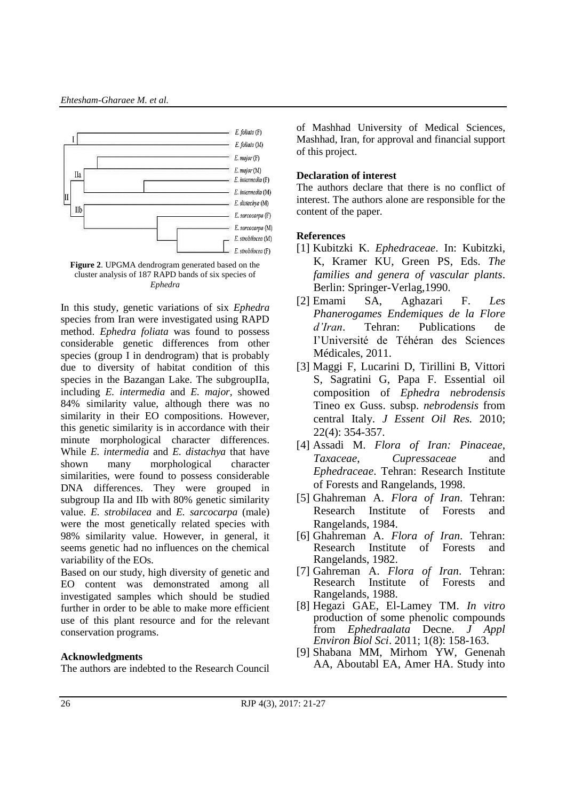



In this study, genetic variations of six *Ephedra*  species from Iran were investigated using RAPD method. *Ephedra foliata* was found to possess considerable genetic differences from other species (group I in dendrogram) that is probably due to diversity of habitat condition of this species in the Bazangan Lake. The subgroupIIa, including *E. intermedia* and *E. major*, showed 84% similarity value, although there was no similarity in their EO compositions. However, this genetic similarity is in accordance with their minute morphological character differences. While *E. intermedia* and *E. distachya* that have shown many morphological character similarities, were found to possess considerable DNA differences. They were grouped in subgroup IIa and IIb with 80% genetic similarity value. *E. strobilacea* and *E. sarcocarpa* (male) were the most genetically related species with 98% similarity value. However, in general, it seems genetic had no influences on the chemical variability of the EOs.

Based on our study, high diversity of genetic and EO content was demonstrated among all investigated samples which should be studied further in order to be able to make more efficient use of this plant resource and for the relevant conservation programs.

### **Acknowledgments**

The authors are indebted to the Research Council

of Mashhad University of Medical Sciences, Mashhad, Iran, for approval and financial support of this project.

#### **Declaration of interest**

The authors declare that there is no conflict of interest. The authors alone are responsible for the content of the paper.

### **References**

- [1] Kubitzki K. *Ephedraceae*. In: Kubitzki, K, Kramer KU, Green PS, Eds. *The families and genera of vascular plants*. Berlin: Springer-Verlag,1990.
- [2] Emami SA, Aghazari F. *Les Phanerogames Endemiques de la Flore d'Iran*. Tehran: Publications de I'Université de Téhéran des Sciences Médicales, 2011.
- [3] Maggi F, Lucarini D, Tirillini B, Vittori S, Sagratini G, Papa F. Essential oil composition of *Ephedra nebrodensis* Tineo ex Guss. subsp. *nebrodensis* from central Italy. *J Essent Oil Res.* 2010; 22(4): 354-357.
- [4] Assadi M. *Flora of Iran: Pinaceae*, *Taxaceae*, *Cupressaceae* and *Ephedraceae*. Tehran: Research Institute of Forests and Rangelands, 1998.
- [5] Ghahreman A. *Flora of Iran*. Tehran: Research Institute of Forests and Rangelands, 1984.
- [6] Ghahreman A. *Flora of Iran*. Tehran: Research Institute of Forests and Rangelands, 1982.
- [7] Gahreman A. *Flora of Iran*. Tehran: Research Institute of Forests and Rangelands, 1988.
- [8] Hegazi GAE, El-Lamey TM. *In vitro* production of some phenolic compounds from *Ephedraalata* Decne. *J Appl Environ Biol Sci*. 2011; 1(8): 158-163.
- [9] Shabana MM, Mirhom YW, Genenah AA, Aboutabl EA, Amer HA. Study into